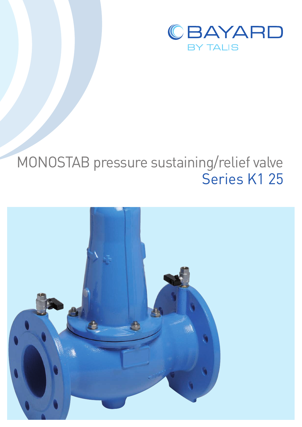

# MONOSTAB pressure sustaining/relief valve Series K1 25

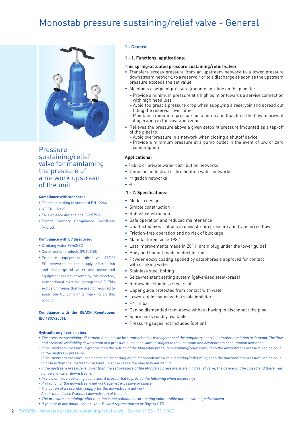## Monostab pressure sustaining/relief valve - General



**Pressure** sustaining/relief valve for maintaining the pressure of a network upstream of the unit

#### **Compliance with standards:**

- Tested according to standard EN 12266
- NF EN 1074-5
- Face-to-face dimensions ISO 5752-1
- French Sanitary Compliance Certificate  $(A \cap S)$

#### **Compliance with EC directives:**

- Drinking water 98/63/EC
- Construction products 89/106/EC
- Pressure equipment directive 97/23/ EC (networks for the supply, distribution and discharge of water and associated equipment are not covered by this directive, as mentioned in Article 1 paragraph 3.2). This exclusion means that we are not required to apply the CE conformity marking on this product.

## **Compliance with the REACH Regulations (EC 1907/2006).**

## **1 - General**

#### **1 - 1. Functions, applications:**

#### **This spring-actuated pressure sustaining/relief valve:**

- Transfers excess pressure from an upstream network to a lower pressure downstream network, to a reservoir or to a discharge as soon as the upstream pressure exceeds the set value
- Maintains a setpoint pressure (mounted on-line on the pipe) to:
	- Provide a minimum pressure at a high point or towards a service connection with high head loss
	- Avoid too great a pressure drop when supplying a reservoir and spread out filling the reservoir over time
	- Maintain a minimum pressure on a pump and thus limit the flow to prevent it operating in the cavitation zone
- Relieves the pressure above a given setpoint pressure (mounted as a tap-off of the pipel to:
	- Avoid overpressure in a network when closing a shutoff device
	- Provide a minimum pressure at a pump outlet in the event of low or zero consumption

## **Applications:**

- Public or private water distribution networks
- Domestic, industrial or fire fighting water networks
- Irrigation networks
- Etc.

## **1 - 2. Specifications:**

- Modern design
- Simple construction
- Robust construction
- Safe operation and reduced maintenance
- Unaffected by variations in downstream pressure and transferred flow
- Friction-free operation and no risk of blockage
- Manufactured since 1982
- Last improvements made in 2011 (drain plug under the lower guide)
- Body and bonnet made of ductile iron
- Powder epoxy coating applied by cataphoresis approved for contact with drinking water
- Stainless steel bolting
- Seize-resistant setting system (galvanised steel-brass)
- Removable stainless steel seat
- Upper guide protected from contact with water
- Lower guide coated with a scale inhibitor
- PN 16 bar
- Can be dismantled from above without having to disconnect the pipe
- Spare parts readily available
- Pressure gauges not included (option)

## **Hydraulic engineer's notes:**

- The pressure sustaining adjustment function can be summarised as management of the temporary shortfall of water in relation to demand. The flow and pressure availability downstream of a pressure sustaining valve is subject to the upstream and downstream consumption demands:
- If the upstream pressure is greater than the setting of the Monostab pressure sustaining/relief valve, then the downstream pressure can be equal to the upstream pressure.
- If the upstream pressure is the same as the setting of the Monostab pressure sustaining/relief valve, then the downstream pressure can be equal to or less than the upstream pressure. In some cases the pipe may not be full.
- If the upstream pressure is lower than the set pressure of the Monostab pressure sustaining/relief valve, the device will be closed and there may not be any water downstream.
- In view of these operating scenarios, it is essential to provide the following when necessary:
- Protection of the downstream network against excessive pressure
- The option of a secondary supply for the downstream network
- An air inlet device (Vannair) downstream of the unit
- The pressure sustaining/relief function is not suitable for protecting submersible pumps with high drawdown
- If you are in any doubt, contact your Bayard representative or Bayard CTS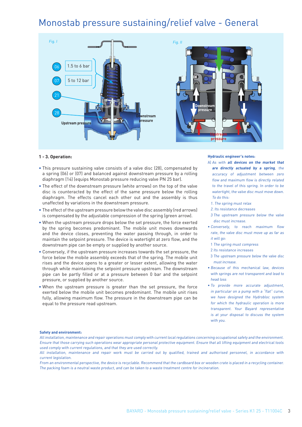## Monostab pressure sustaining/relief valve - General



#### **1 - 3. Operation:**

- This pressure sustaining valve consists of a valve disc (28), compensated by a spring (06) or (07) and balanced against downstream pressure by a rolling diaphragm (14) (equips Monostab pressure reducing valve PN 25 bar).
- The effect of the downstream pressure (white arrows) on the top of the valve disc is counteracted by the effect of the same pressure below the rolling diaphragm. The effects cancel each other out and the assembly is thus unaffected by variations in the downstream pressure.
- The effect of the upstream pressure below the valve disc assembly (red arrows) is compensated by the adjustable compression of the spring (green arrow).
- When the upstream pressure drops below the set pressure, the force exerted by the spring becomes predominant. The mobile unit moves downwards and the device closes, preventing the water passing through, in order to maintain the setpoint pressure. The device is watertight at zero flow, and the downstream pipe can be empty or supplied by another source.
- Conversely, if the upstream pressure increases towards the set pressure, the force below the mobile assembly exceeds that of the spring. The mobile unit rises and the device opens to a greater or lesser extent, allowing the water through while maintaining the setpoint pressure upstream. The downstream pipe can be partly filled or at a pressure between 0 bar and the setpoint pressure, or supplied by another source.
- When the upstream pressure is greater than the set pressure, the force exerted below the mobile unit becomes predominant. The mobile unit rises fully, allowing maximum flow. The pressure in the downstream pipe can be equal to the pressure read upstream.

**Hydraulic engineer's notes:**

- A) As with **all devices on the market that are directly actuated by a spring**, the accuracy of adjustment between zero flow and maximum flow is directly related to the travel of this spring. In order to be watertight, the valve disc must move down. To do this:
	- 1. The spring must relax
- 2. Its resistance decreases
- 3 The upstream pressure below the valve disc must increase.
- Conversely, to reach maximum flow rate, the valve disc must move up as far as it will go:
- 1 The spring must compress
- 2 Its resistance increases
- 3 The upstream pressure below the valve disc must increase.
- Because of this mechanical law, devices with springs are not transparent and lead to head loss
- To provide more accurate adjustment, in particular on a pump with a "flat" curve, we have designed the Hydrobloc system for which the hydraulic operation is more transparent. Your Bayard representative is at your disposal to discuss the system with you.

#### **Safety and environment:**

All installation, maintenance and repair operations must comply with current local regulations concerning occupational safety and the environment. Ensure that those carrying such operations wear appropriate personal protective equipment. Ensure that all lifting equipment and electrical tools used comply with current regulations, and that they are used correctly.

From an environmental perspective, the device is recyclable. Recommend that the cardboard box or wooden crate is placed in a recycling container. The packing foam is a neutral waste product, and can be taken to a waste treatment centre for incineration.

All installation, maintenance and repair work must be carried out by qualified, trained and authorised personnel, in accordance with current legislation.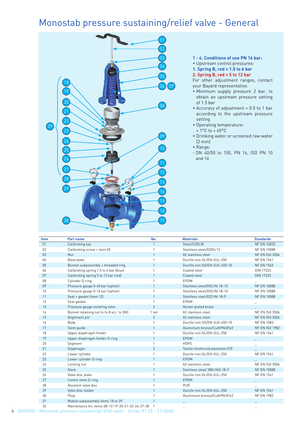## Monostab pressure sustaining/relief valve - General



**1 - 4. Conditions of use PN 16 bar:**

• Upstream control pressures:

**1. Spring B, red = 1.5 to 6 bar**

**2. Spring B, red = 5 to 12 bar**

For other adjustment ranges, contact your Bayard representative.

- Minimum supply pressure 2 bar, to obtain an upstream pressure setting of 1.5 bar
- Accuracy of adjustment = 0.5 to 1 bar according to the upstream pressure setting
- Operating temperature:
- $+1$ <sup>o</sup>C to  $+65$ <sup>o</sup>C
- Drinking water or screened raw water (2 mm)
- Range:
- DN 40/50 to 150, PN 16, ISO PN 10 and 16

| Item           | Part name                                         | No.            | <b>Materials</b>                | <b>Standards</b>      |
|----------------|---------------------------------------------------|----------------|---------------------------------|-----------------------|
| 01             | Calibrating key                                   | $\mathbf{1}$   | Steel/S235JR                    | <b>NF EN 10025</b>    |
| 02             | Calibrating screw + item 03                       | $\mathbf{1}$   | Stainless steel/X20Cr13         | NF EN 10088           |
| 03             | Nut                                               | $\mathbf{1}$   | A <sub>2</sub> stainless steel  | <b>NF EN ISO 3506</b> |
| 04             | Base plate                                        |                | Ductile iron GL/EN-GJL-250      | <b>NF EN 1561</b>     |
| 0 <sub>5</sub> | Bonnet subassembly + threaded ring                |                | Ductile iron GS/EN-GJS-450-10   | <b>NF EN 1563</b>     |
| 06             | Calibrating spring 1.5 to 6 bar (blue)            |                | Coated steel                    | <b>DIN 17223</b>      |
| 07             | Calibrating spring 5 to 12 bar (red)              |                | Coated steel                    | <b>DIN 17223</b>      |
| 08             | Cylinder O-ring                                   |                | EPDM                            |                       |
| 09             | Pressure gauge 0-40 bar (option)                  | $\mathbf{1}$   | Stainless steel/X5CrNi 18-10    | <b>NF EN 10088</b>    |
| 10             | Pressure gauge 0-16 bar (option)                  |                | Stainless steel/X5CrNi 18-10    | NF EN 10088           |
| 11             | Seat + gasket (item 12)                           |                | Stainless steel/X2CrNi 18-9     | <b>NF EN 10088</b>    |
| 12             | Seat gasket                                       |                | <b>EPDM</b>                     |                       |
| 13             | Pressure gauge isolating valve                    | $\overline{2}$ | Nickel-plated brass             |                       |
| 14             | Bonnet retaining nut (4 to 8 acc. to DN)          | 1 set          | A2 stainless steel              | <b>NF EN ISO 3506</b> |
| 15             | Alignment pin                                     | $\overline{2}$ | A2 stainless steel              | <b>NF EN ISO 3506</b> |
| 16             | Body                                              |                | Ductile iron GS/EN-GJS-450-10   | <b>NF EN 1583</b>     |
| 17             | Stem quide                                        | $\mathbf{1}$   | Aluminium bronze/CuAl9Ni3Fe2    | <b>NF EN ISO 1982</b> |
| 18             | Upper diaphragm holder                            | $\mathbf{1}$   | Ductile iron GL/EN-GJL-250      | <b>NF EN 1561</b>     |
| 19             | Upper diaphragm holder O-ring                     |                | <b>EPDM</b>                     |                       |
| 20             | Segment                                           |                | HDPE                            |                       |
| 21             | Diaphragm                                         | $\overline{2}$ | Textile reinforced elastomer/CR |                       |
| 22             | Lower cylinder                                    |                | Ductile iron GL/EN-GJL-250      | <b>NF EN 1561</b>     |
| 23             | Lower cylinder O-ring                             | $\mathbf{1}$   | EPDM                            |                       |
| 24             | Locking nut                                       |                | A2 stainless steel              | <b>NF EN ISO 3506</b> |
| 25             | <b>Stem</b>                                       |                | Stainless steel/ X8CrNiS 18-9   | <b>NF EN 10088</b>    |
| 26             | Valve disc plate                                  |                | Ductile iron GL/EN-GJL-250      | <b>NF EN 1561</b>     |
| 27             | Centre stem O-ring                                |                | <b>EPDM</b>                     |                       |
| 28             | Resilient valve disc                              |                | <b>PUR</b>                      |                       |
| 29             | Valve disc holder                                 |                | Ductile iron GL/EN-GJL-250      | <b>NF EN 1561</b>     |
| 30             | Plug                                              |                | Aluminium bronze/CuAl9Ni3Fe2    | <b>NF EN 1982</b>     |
| 31             | Mobile subassembly items 18 to 29                 |                |                                 |                       |
| 32             | Maintenance kit, items 08-12-19-20-21-23-24-27-28 |                |                                 |                       |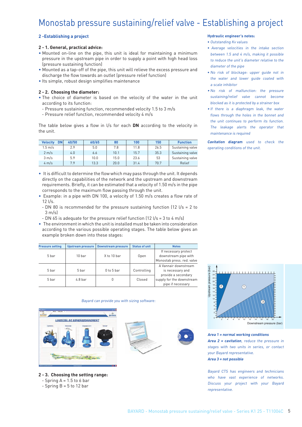## Monostab pressure sustaining/relief valve - Establishing a project

## **2 -Establishing a project**

### **2 - 1. General, practical advice:**

- Mounted on-line on the pipe, this unit is ideal for maintaining a minimum pressure in the upstream pipe in order to supply a point with high head loss (pressure sustaining function)
- Mounted as a tap-off of the pipe, this unit will relieve the excess pressure and discharge the flow towards an outlet (pressure relief function)
- Its simple, robust design simplifies maintenance

## **2 - 2. Choosing the diameter:**

- The choice of diameter is based on the velocity of the water in the unit according to its function:
	- Pressure sustaining function, recommended velocity 1.5 to 3 m/s
- Pressure relief function, recommended velocity 4 m/s

The table below gives a flow in l/s for each **DN** according to the velocity in the unit.

| <b>DN</b><br><b>Velocity</b> | 40/50 | 60/65 | 80   | 100  | 150  | <b>Function</b>  |
|------------------------------|-------|-------|------|------|------|------------------|
| $1.5 \text{ m/s}$            | 2.9   | 5.0   | 7.8  | 11.8 | 26.5 | Sustaining valve |
| $2 \text{ m/s}$              | 4.0   | 6.6   | 10.1 | 15.7 | 35.3 | Sustaining valve |
| 3 m/s                        | 5.9   | 10.0  | 15.0 | 23.6 | 53   | Sustaining valve |
| $4 \text{ m/s}$              | 7.9   | 13.3  | 20.0 | 31.4 | 70.7 | Relief           |

• It is difficult to determine the flow which may pass through the unit. It depends directly on the capabilities of the network and the upstream and downstream requirements. Briefly, it can be estimated that a velocity of 1.50 m/s in the pipe corresponds to the maximum flow passing through the unit.

- Example: in a pipe with DN 100, a velocity of 1.50 m/s creates a flow rate of  $121/s$
- DN 80 is recommended for the pressure sustaining function (12 l/s = 2 to  $3 \text{ m/s}$
- DN 65 is adequate for the pressure relief function (12 l/s = 3 to 4 m/s)
- The environment in which the unit is installed must be taken into consideration according to the various possible operating stages. The table below gives an example broken down into these stages:

| <b>Pressure setting</b> | <b>Upstream pressure</b> | <b>Downstream pressure</b> | <b>Status of unit</b> | <b>Notes</b>                                                               |  |
|-------------------------|--------------------------|----------------------------|-----------------------|----------------------------------------------------------------------------|--|
| 5 bar                   | 10 <sub>bar</sub>        | X to 10 bar                | Open                  | If necessary protect<br>downstream pipe with<br>Monostab press. red. valve |  |
| 5 bar                   | 5 bar                    | $0$ to $5$ bar             | Controlling           | A Vannair downstream<br>is necessary and<br>provide a secondary            |  |
| 5 bar                   | 4.8 <sub>bar</sub>       |                            | Closed                | supply for the downstream<br>pipe if necessary                             |  |

#### Bayard can provide you with sizing software:



- **2 3. Choosing the setting range:**
- $-$  Spring A = 1.5 to 6 bar
- $-$  Spring B = 5 to 12 bar





#### **Area 1 = normal working conditions**

 $\bullet$  1 0

**Area 2 = cavitation**, reduce the pressure in stages with two units in series, or contact your Bayard representative.

2 6 4 8 10 12 14 16 18 20

**THE REPORT OF A 49 YEAR OLD FEMALE** 

Downstream pressure (bar)

3

## **Area 3 = not possible**

Bayard CTS has engineers and technicians who have vast experience of networks. Discuss your project with your Bayard representative.

## **Hydraulic engineer's notes:**

- Outstanding Kv values
- Average velocities in the intake section between 1.5 and 4 m/s, making it possible to reduce the unit's diameter relative to the diameter of the pipe
- No risk of blockage: upper guide not in the water and lower guide coated with a scale inhibitor
- No risk of malfunction: the pressure sustaining/relief valve cannot become blocked as it is protected by a strainer box
- If there is a diaphragm leak, the water flows through the holes in the bonnet and the unit continues to perform its function. The leakage alerts the operator that maintenance is required

**Cavitation diagram** used to check the operating conditions of the unit.

Upstream pressure (bar)

Upstream pressure (bar)

26<br>24<br>22<br>20<br>18<br>16<br>14<br>12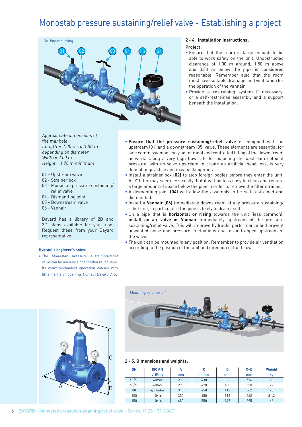## Monostab pressure sustaining/relief valve - Establishing a project



## **2 - 4. Installation instructions: Project:**

- Ensure that the room is large enough to be able to work safely on the unit. Unobstructed clearance of 1.00 m around, 1.50 m above and 0.30 m below the pipe is considered reasonable. Remember also that the room must have suitable drainage, and ventilation for the operation of the Vannair.
- Provide a restraining system if necessary, or a self-restrained assembly and a support beneath the installation.

Approximate dimensions of the manhole: Length = 2.00 m to 3.00 m depending on diameter Width = 2.00 m Height = 1.70 m minimum

- 01 Upstream valve
- 02 Strainer box
- 03 Monostab pressure sustaining/ relief valve
- 04 Dismantling joint
- 05 Downstream valve
- 06 Vannair

Bayard has a library of 2D and 3D plans available for your use. Request these from your Bayard representative.

#### **Hydraulic engineer's notes:**

• The Monostab pressure sustaining/relief valve can be used as a channelled relief valve. Its hydromechanical operation causes very little inertia on opening. Contact Bayard CTS.

- **Ensure that the pressure sustaining/relief valve** is equipped with an upstream (01) and a downstream (05) valve. These elements are essential for safe commissioning, easy adjustment and controlled filling of the downstream network. Using a very high flow rate for adjusting the upstream setpoint pressure, with no valve upstream to create an artificial head loss, is very difficult in practice and may be dangerous.
- Install a strainer box **(02)** to stop foreign bodies before they enter the unit. A "Y"filter may seem less costly, but it will be less easy to clean and require a large amount of space below the pipe in order to remove the filter strainer.
- A dismantling joint **(04)** will allow the assembly to be self-restrained and dismantled.
- Install a **Vannair (06)** immediately downstream of any pressure sustaining/ relief unit, in particular if the pipe is likely to drain itself.
- On a pipe that is **horizontal or rising** towards the unit (less common), **install an air valve or Vannair** immediately upstream of the pressure sustaining/relief valve. This will improve hydraulic performance and prevent unwanted noise and pressure fluctuations due to air trapped upstream of the valve.
- The unit can be mounted in any position. Remember to provide air ventilation according to the position of the unit and direction of fluid flow.





## **2 - 5. Dimensions and weights:**

| <b>DN</b> | <b>ISO PN</b> | А   | c   | D   | $C + D$ | Weight |
|-----------|---------------|-----|-----|-----|---------|--------|
|           | drilling      | mm  | mmm | mm  | mm      | kg     |
| 40/50     | 40/50         | 230 | 430 | 86  | 516     | 18     |
| 60/65     | 60/65         | 290 | 420 | 100 | 520     | 22     |
| 80        | 4/8 holes     | 310 | 450 | 112 | 562     | 25     |
| 100       | 10/16         | 350 | 450 | 112 | 562     | 31.3   |
| 150       | 10/16         | 480 | 550 | 145 | 695     | 66     |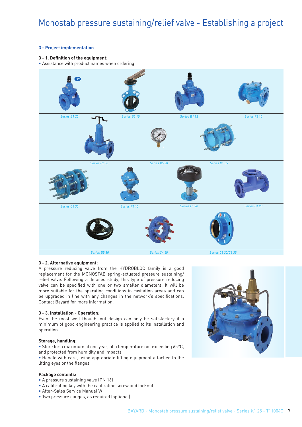## Monostab pressure sustaining/relief valve - Establishing a project

## **3 - Project implementation**

## **3 - 1. Definition of the equipment:**

• Assistance with product names when ordering



## **3 - 2. Alternative equipment:**

A pressure reducing valve from the HYDROBLOC family is a good replacement for the MONOSTAB spring-actuated pressure sustaining/ relief valve. Following a detailed study, this type of pressure reducing valve can be specified with one or two smaller diameters. It will be more suitable for the operating conditions in cavitation areas and can be upgraded in line with any changes in the network's specifications. Contact Bayard for more information.

## **3 - 3. Installation - Operation:**

Even the most well thought-out design can only be satisfactory if a minimum of good engineering practice is applied to its installation and operation.

## **Storage, handling:**

• Store for a maximum of one year, at a temperature not exceeding 65°C, and protected from humidity and impacts

• Handle with care, using appropriate lifting equipment attached to the lifting eyes or the flanges

#### **Package contents:**

- A pressure sustaining valve (PN 16)
- A calibrating key with the calibrating screw and locknut
- After-Sales Service Manual W
- Two pressure gauges, as required (optional)